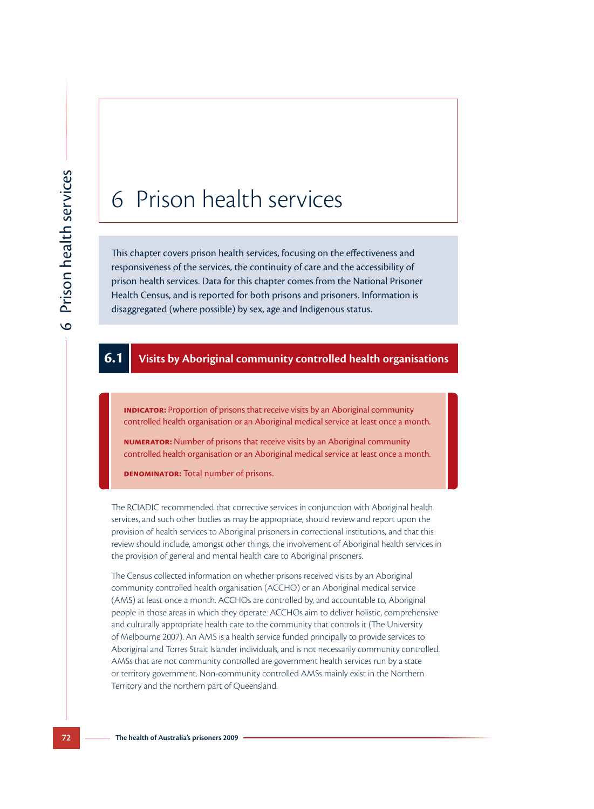# 6 Prison health services

This chapter covers prison health services, focusing on the effectiveness and responsiveness of the services, the continuity of care and the accessibility of prison health services. Data for this chapter comes from the National Prisoner Health Census, and is reported for both prisons and prisoners. Information is disaggregated (where possible) by sex, age and Indigenous status.

## **6.1 Visits by Aboriginal community controlled health organisations**

**INDICATOR:** Proportion of prisons that receive visits by an Aboriginal community controlled health organisation or an Aboriginal medical service at least once a month.

**Numerator:** Number of prisons that receive visits by an Aboriginal community controlled health organisation or an Aboriginal medical service at least once a month.

**Denominator:** Total number of prisons.

The RCIADIC recommended that corrective services in conjunction with Aboriginal health services, and such other bodies as may be appropriate, should review and report upon the provision of health services to Aboriginal prisoners in correctional institutions, and that this review should include, amongst other things, the involvement of Aboriginal health services in the provision of general and mental health care to Aboriginal prisoners.

The Census collected information on whether prisons received visits by an Aboriginal community controlled health organisation (ACCHO) or an Aboriginal medical service (AMS) at least once a month. ACCHOs are controlled by, and accountable to, Aboriginal people in those areas in which they operate. ACCHOs aim to deliver holistic, comprehensive and culturally appropriate health care to the community that controls it (The University of Melbourne 2007). An AMS is a health service funded principally to provide services to Aboriginal and Torres Strait Islander individuals, and is not necessarily community controlled. AMSs that are not community controlled are government health services run by a state or territory government. Non-community controlled AMSs mainly exist in the Northern Territory and the northern part of Queensland.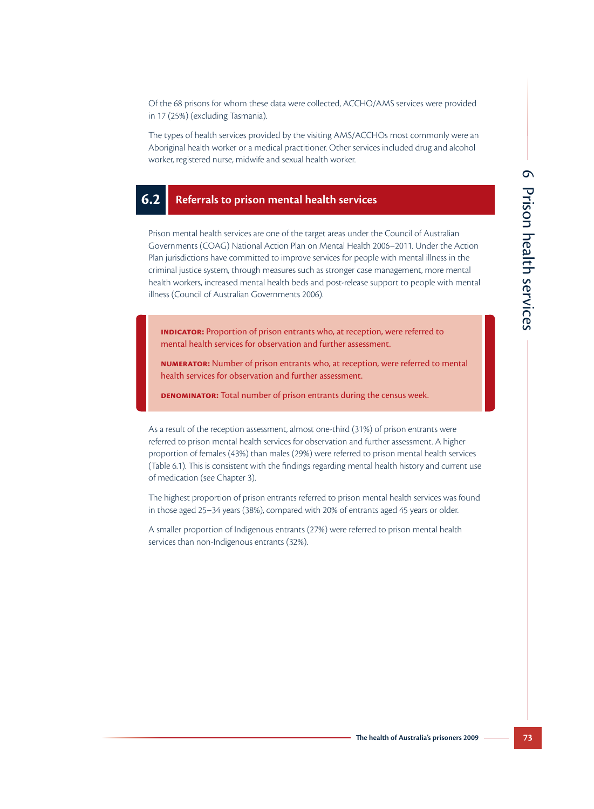Of the 68 prisons for whom these data were collected, ACCHO/AMS services were provided in 17 (25%) (excluding Tasmania).

The types of health services provided by the visiting AMS/ACCHOs most commonly were an Aboriginal health worker or a medical practitioner. Other services included drug and alcohol worker, registered nurse, midwife and sexual health worker.

#### **6.2 Referrals to prison mental health services**

Prison mental health services are one of the target areas under the Council of Australian Governments (COAG) National Action Plan on Mental Health 2006–2011. Under the Action Plan jurisdictions have committed to improve services for people with mental illness in the criminal justice system, through measures such as stronger case management, more mental health workers, increased mental health beds and post-release support to people with mental illness (Council of Australian Governments 2006).

**INDICATOR:** Proportion of prison entrants who, at reception, were referred to mental health services for observation and further assessment.

**Numerator:** Number of prison entrants who, at reception, were referred to mental health services for observation and further assessment.

**DENOMINATOR:** Total number of prison entrants during the census week.

As a result of the reception assessment, almost one-third (31%) of prison entrants were referred to prison mental health services for observation and further assessment. A higher proportion of females (43%) than males (29%) were referred to prison mental health services (Table 6.1). This is consistent with the findings regarding mental health history and current use of medication (see Chapter 3).

The highest proportion of prison entrants referred to prison mental health services was found in those aged 25–34 years (38%), compared with 20% of entrants aged 45 years or older.

A smaller proportion of Indigenous entrants (27%) were referred to prison mental health services than non-Indigenous entrants (32%).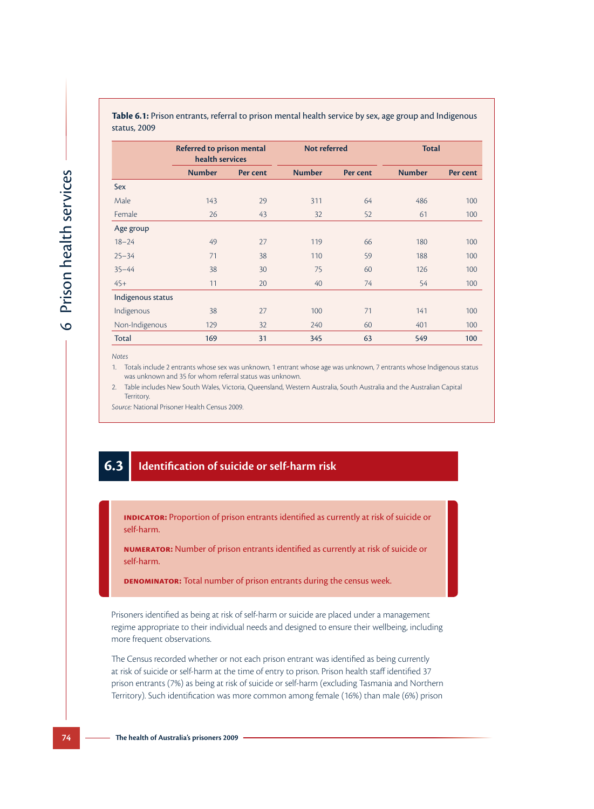|                   | <b>Referred to prison mental</b><br>health services |          | Not referred  |          | <b>Total</b>  |          |  |
|-------------------|-----------------------------------------------------|----------|---------------|----------|---------------|----------|--|
|                   | <b>Number</b>                                       | Per cent | <b>Number</b> | Per cent | <b>Number</b> | Per cent |  |
| Sex               |                                                     |          |               |          |               |          |  |
| Male              | 143                                                 | 29       | 311           | 64       | 486           | 100      |  |
| Female            | 26                                                  | 43       | 32            | 52       | 61            | 100      |  |
| Age group         |                                                     |          |               |          |               |          |  |
| $18 - 24$         | 49                                                  | 27       | 119           | 66       | 180           | 100      |  |
| $25 - 34$         | 71                                                  | 38       | 110           | 59       | 188           | 100      |  |
| $35 - 44$         | 38                                                  | 30       | 75            | 60       | 126           | 100      |  |
| $45+$             | 11                                                  | 20       | 40            | 74       | 54            | 100      |  |
| Indigenous status |                                                     |          |               |          |               |          |  |
| Indigenous        | 38                                                  | 27       | 100           | 71       | 141           | 100      |  |
| Non-Indigenous    | 129                                                 | 32       | 240           | 60       | 401           | 100      |  |
| Total             | 169                                                 | 31       | 345           | 63       | 549           | 100      |  |

**Table 6.1:** Prison entrants, referral to prison mental health service by sex, age group and Indigenous status, 2009

*Notes*

1. Totals include 2 entrants whose sex was unknown, 1 entrant whose age was unknown, 7 entrants whose Indigenous status was unknown and 35 for whom referral status was unknown.

2. Table includes New South Wales, Victoria, Queensland, Western Australia, South Australia and the Australian Capital Territory.

*Source:* National Prisoner Health Census 2009.

# **6.3 Identification of suicide or self-harm risk**

**Indicator:** Proportion of prison entrants identified as currently at risk of suicide or self-harm.

**Numerator:** Number of prison entrants identified as currently at risk of suicide or self-harm.

**Denominator:** Total number of prison entrants during the census week.

Prisoners identified as being at risk of self-harm or suicide are placed under a management regime appropriate to their individual needs and designed to ensure their wellbeing, including more frequent observations.

The Census recorded whether or not each prison entrant was identified as being currently at risk of suicide or self-harm at the time of entry to prison. Prison health staff identified 37 prison entrants (7%) as being at risk of suicide or self-harm (excluding Tasmania and Northern Territory). Such identification was more common among female (16%) than male (6%) prison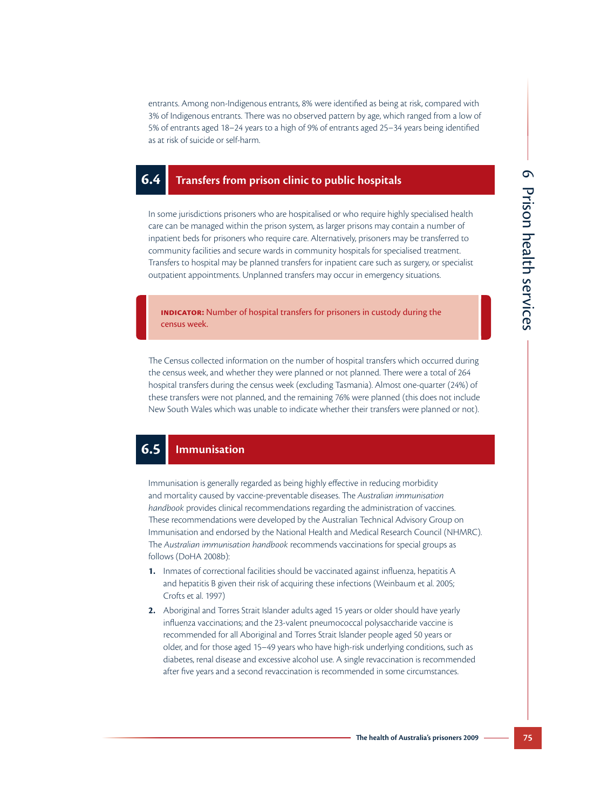entrants. Among non-Indigenous entrants, 8% were identified as being at risk, compared with 3% of Indigenous entrants. There was no observed pattern by age, which ranged from a low of 5% of entrants aged 18–24 years to a high of 9% of entrants aged 25–34 years being identified as at risk of suicide or self-harm.

#### **6.4 Transfers from prison clinic to public hospitals**

In some jurisdictions prisoners who are hospitalised or who require highly specialised health care can be managed within the prison system, as larger prisons may contain a number of inpatient beds for prisoners who require care. Alternatively, prisoners may be transferred to community facilities and secure wards in community hospitals for specialised treatment. Transfers to hospital may be planned transfers for inpatient care such as surgery, or specialist outpatient appointments. Unplanned transfers may occur in emergency situations.

**INDICATOR:** Number of hospital transfers for prisoners in custody during the census week.

The Census collected information on the number of hospital transfers which occurred during the census week, and whether they were planned or not planned. There were a total of 264 hospital transfers during the census week (excluding Tasmania). Almost one-quarter (24%) of these transfers were not planned, and the remaining 76% were planned (this does not include New South Wales which was unable to indicate whether their transfers were planned or not).

# **6.5 Immunisation**

Immunisation is generally regarded as being highly effective in reducing morbidity and mortality caused by vaccine-preventable diseases. The *Australian immunisation handbook* provides clinical recommendations regarding the administration of vaccines. These recommendations were developed by the Australian Technical Advisory Group on Immunisation and endorsed by the National Health and Medical Research Council (NHMRC). The *Australian immunisation handbook* recommends vaccinations for special groups as follows (DoHA 2008b):

- **1.** Inmates of correctional facilities should be vaccinated against influenza, hepatitis A and hepatitis B given their risk of acquiring these infections (Weinbaum et al. 2005; Crofts et al. 1997)
- **2.** Aboriginal and Torres Strait Islander adults aged 15 years or older should have yearly influenza vaccinations; and the 23-valent pneumococcal polysaccharide vaccine is recommended for all Aboriginal and Torres Strait Islander people aged 50 years or older, and for those aged 15–49 years who have high-risk underlying conditions, such as diabetes, renal disease and excessive alcohol use. A single revaccination is recommended after five years and a second revaccination is recommended in some circumstances.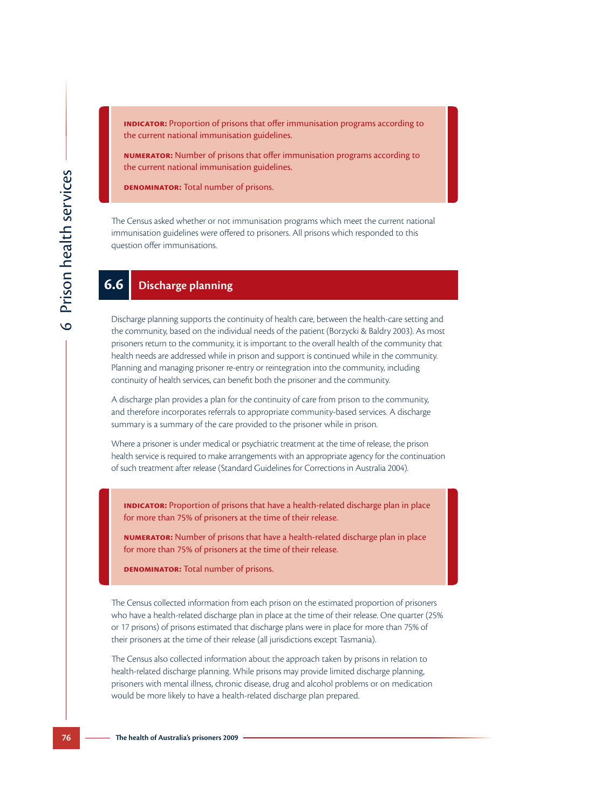**INDICATOR:** Proportion of prisons that offer immunisation programs according to the current national immunisation guidelines.

**Numerator:** Number of prisons that offer immunisation programs according to the current national immunisation guidelines.

**DENOMINATOR:** Total number of prisons.

The Census asked whether or not immunisation programs which meet the current national immunisation guidelines were offered to prisoners. All prisons which responded to this question offer immunisations.

# **6.6 Discharge planning**

Discharge planning supports the continuity of health care, between the health-care setting and the community, based on the individual needs of the patient (Borzycki & Baldry 2003). As most prisoners return to the community, it is important to the overall health of the community that health needs are addressed while in prison and support is continued while in the community. Planning and managing prisoner re-entry or reintegration into the community, including continuity of health services, can benefit both the prisoner and the community.

A discharge plan provides a plan for the continuity of care from prison to the community, and therefore incorporates referrals to appropriate community-based services. A discharge summary is a summary of the care provided to the prisoner while in prison.

Where a prisoner is under medical or psychiatric treatment at the time of release, the prison health service is required to make arrangements with an appropriate agency for the continuation of such treatment after release (Standard Guidelines for Corrections in Australia 2004).

**INDICATOR:** Proportion of prisons that have a health-related discharge plan in place for more than 75% of prisoners at the time of their release.

**Numerator:** Number of prisons that have a health-related discharge plan in place for more than 75% of prisoners at the time of their release.

**Denominator:** Total number of prisons.

The Census collected information from each prison on the estimated proportion of prisoners who have a health-related discharge plan in place at the time of their release. One quarter (25% or 17 prisons) of prisons estimated that discharge plans were in place for more than 75% of their prisoners at the time of their release (all jurisdictions except Tasmania).

The Census also collected information about the approach taken by prisons in relation to health-related discharge planning. While prisons may provide limited discharge planning, prisoners with mental illness, chronic disease, drug and alcohol problems or on medication would be more likely to have a health-related discharge plan prepared.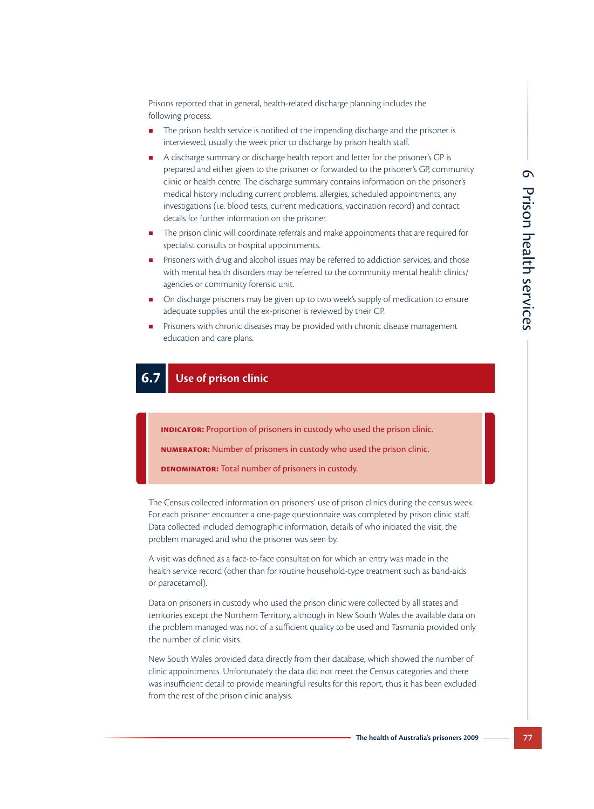Prisons reported that in general, health-related discharge planning includes the following process:

- **The prison health service is notified of the impending discharge and the prisoner is** interviewed, usually the week prior to discharge by prison health staff.
- A discharge summary or discharge health report and letter for the prisoner's GP is prepared and either given to the prisoner or forwarded to the prisoner's GP, community clinic or health centre. The discharge summary contains information on the prisoner's medical history including current problems, allergies, scheduled appointments, any investigations (i.e. blood tests, current medications, vaccination record) and contact details for further information on the prisoner.
- The prison clinic will coordinate referrals and make appointments that are required for specialist consults or hospital appointments.
- Prisoners with drug and alcohol issues may be referred to addiction services, and those with mental health disorders may be referred to the community mental health clinics/ agencies or community forensic unit.
- On discharge prisoners may be given up to two week's supply of medication to ensure adequate supplies until the ex-prisoner is reviewed by their GP.
- Prisoners with chronic diseases may be provided with chronic disease management education and care plans.

# **6.7 Use of prison clinic**

**Indicator:** Proportion of prisoners in custody who used the prison clinic.

**Numerator:** Number of prisoners in custody who used the prison clinic.

**Denominator:** Total number of prisoners in custody.

The Census collected information on prisoners' use of prison clinics during the census week. For each prisoner encounter a one-page questionnaire was completed by prison clinic staff. Data collected included demographic information, details of who initiated the visit, the problem managed and who the prisoner was seen by.

A visit was defined as a face-to-face consultation for which an entry was made in the health service record (other than for routine household-type treatment such as band-aids or paracetamol).

Data on prisoners in custody who used the prison clinic were collected by all states and territories except the Northern Territory, although in New South Wales the available data on the problem managed was not of a sufficient quality to be used and Tasmania provided only the number of clinic visits.

New South Wales provided data directly from their database, which showed the number of clinic appointments. Unfortunately the data did not meet the Census categories and there was insufficient detail to provide meaningful results for this report, thus it has been excluded from the rest of the prison clinic analysis.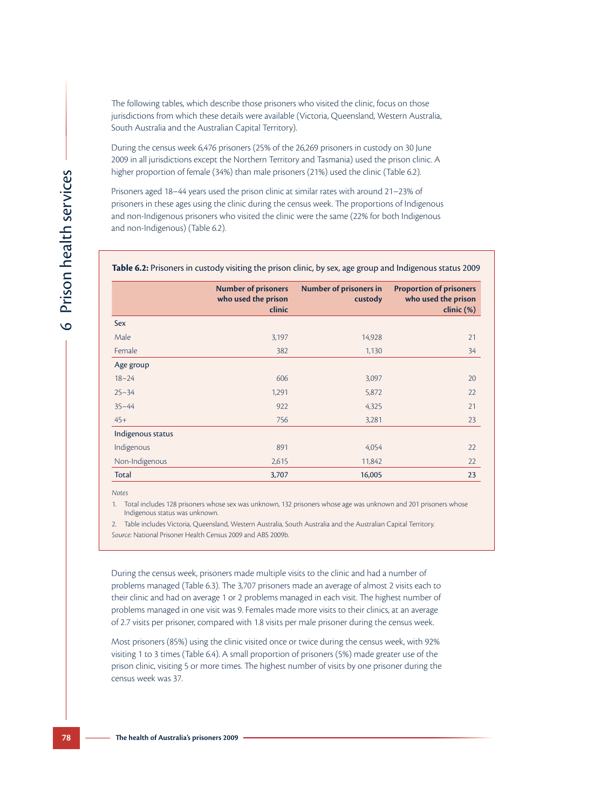The following tables, which describe those prisoners who visited the clinic, focus on those jurisdictions from which these details were available (Victoria, Queensland, Western Australia, South Australia and the Australian Capital Territory).

During the census week 6,476 prisoners (25% of the 26,269 prisoners in custody on 30 June 2009 in all jurisdictions except the Northern Territory and Tasmania) used the prison clinic. A higher proportion of female (34%) than male prisoners (21%) used the clinic (Table 6.2).

Prisoners aged 18–44 years used the prison clinic at similar rates with around 21–23% of prisoners in these ages using the clinic during the census week. The proportions of Indigenous and non-Indigenous prisoners who visited the clinic were the same (22% for both Indigenous and non-Indigenous) (Table 6.2).

#### **Table 6.2:** Prisoners in custody visiting the prison clinic, by sex, age group and Indigenous status 2009

|                   | <b>Number of prisoners</b><br>who used the prison<br>clinic | <b>Number of prisoners in</b><br>custody | <b>Proportion of prisoners</b><br>who used the prison<br>clinic (%) |
|-------------------|-------------------------------------------------------------|------------------------------------------|---------------------------------------------------------------------|
| Sex               |                                                             |                                          |                                                                     |
| Male              | 3,197                                                       | 14,928                                   | 21                                                                  |
| Female            | 382                                                         | 1,130                                    | 34                                                                  |
| Age group         |                                                             |                                          |                                                                     |
| $18 - 24$         | 606                                                         | 3,097                                    | 20                                                                  |
| $25 - 34$         | 1,291                                                       | 5,872                                    | 22                                                                  |
| $35 - 44$         | 922                                                         | 4,325                                    | 21                                                                  |
| $45+$             | 756                                                         | 3,281                                    | 23                                                                  |
| Indigenous status |                                                             |                                          |                                                                     |
| Indigenous        | 891                                                         | 4,054                                    | 22                                                                  |
| Non-Indigenous    | 2,615                                                       | 11,842                                   | 22                                                                  |
| <b>Total</b>      | 3,707                                                       | 16,005                                   | 23                                                                  |

*Notes*

1. Total includes 128 prisoners whose sex was unknown, 132 prisoners whose age was unknown and 201 prisoners whose Indigenous status was unknown.

2. Table includes Victoria, Queensland, Western Australia, South Australia and the Australian Capital Territory.

*Source:* National Prisoner Health Census 2009 and ABS 2009b.

During the census week, prisoners made multiple visits to the clinic and had a number of problems managed (Table 6.3). The 3,707 prisoners made an average of almost 2 visits each to their clinic and had on average 1 or 2 problems managed in each visit. The highest number of problems managed in one visit was 9. Females made more visits to their clinics, at an average of 2.7 visits per prisoner, compared with 1.8 visits per male prisoner during the census week.

Most prisoners (85%) using the clinic visited once or twice during the census week, with 92% visiting 1 to 3 times (Table 6.4). A small proportion of prisoners (5%) made greater use of the prison clinic, visiting 5 or more times. The highest number of visits by one prisoner during the census week was 37.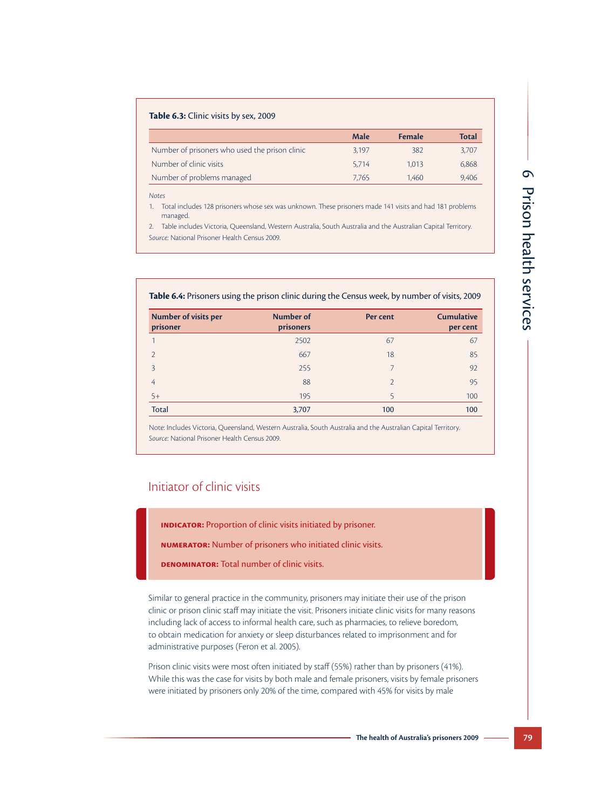# **Table 6.3:** Clinic visits by sex, 2009

|                                                | Male  | <b>Female</b> | <b>Total</b> |
|------------------------------------------------|-------|---------------|--------------|
| Number of prisoners who used the prison clinic | 3.197 | 382           | 3.707        |
| Number of clinic visits                        | 5.714 | 1.013         | 6,868        |
| Number of problems managed                     | 7.765 | 1.460         | 9.406        |

*Notes*

1. Total includes 128 prisoners whose sex was unknown. These prisoners made 141 visits and had 181 problems managed.

2. Table includes Victoria, Queensland, Western Australia, South Australia and the Australian Capital Territory. *Source:* National Prisoner Health Census 2009.

|  |  |  | Table 6.4: Prisoners using the prison clinic during the Census week, by number of visits, 2009 |  |
|--|--|--|------------------------------------------------------------------------------------------------|--|
|--|--|--|------------------------------------------------------------------------------------------------|--|

| <b>Number of visits per</b><br>prisoner | <b>Number of</b><br>prisoners | Per cent                 | <b>Cumulative</b><br>per cent |
|-----------------------------------------|-------------------------------|--------------------------|-------------------------------|
|                                         | 2502                          | 67                       | 67                            |
| $\mathcal{D}$                           | 667                           | 18                       | 85                            |
| 3                                       | 255                           | 7                        | 92                            |
| 4                                       | 88                            | $\overline{\mathcal{L}}$ | 95                            |
| $5+$                                    | 195                           | 5                        | 100                           |
| <b>Total</b>                            | 3,707                         | 100                      | 100                           |

Note: Includes Victoria, Queensland, Western Australia, South Australia and the Australian Capital Territory. *Source:* National Prisoner Health Census 2009.

# Initiator of clinic visits

**Indicator:** Proportion of clinic visits initiated by prisoner.

**Numerator:** Number of prisoners who initiated clinic visits.

**Denominator:** Total number of clinic visits.

Similar to general practice in the community, prisoners may initiate their use of the prison clinic or prison clinic staff may initiate the visit. Prisoners initiate clinic visits for many reasons including lack of access to informal health care, such as pharmacies, to relieve boredom, to obtain medication for anxiety or sleep disturbances related to imprisonment and for administrative purposes (Feron et al. 2005).

Prison clinic visits were most often initiated by staff (55%) rather than by prisoners (41%). While this was the case for visits by both male and female prisoners, visits by female prisoners were initiated by prisoners only 20% of the time, compared with 45% for visits by male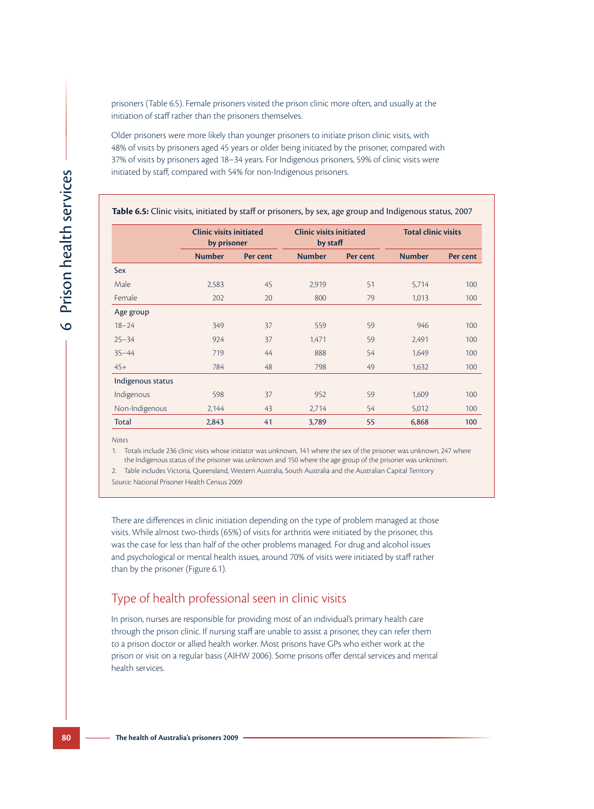prisoners (Table 6.5). Female prisoners visited the prison clinic more often, and usually at the initiation of staff rather than the prisoners themselves.

Older prisoners were more likely than younger prisoners to initiate prison clinic visits, with 48% of visits by prisoners aged 45 years or older being initiated by the prisoner, compared with 37% of visits by prisoners aged 18–34 years. For Indigenous prisoners, 59% of clinic visits were initiated by staff, compared with 54% for non-Indigenous prisoners.

|                   | <b>Clinic visits initiated</b><br>by prisoner |          | <b>Clinic visits initiated</b><br>by staff |          | <b>Total clinic visits</b> |          |  |
|-------------------|-----------------------------------------------|----------|--------------------------------------------|----------|----------------------------|----------|--|
|                   | <b>Number</b>                                 | Per cent | <b>Number</b>                              | Per cent | <b>Number</b>              | Per cent |  |
| Sex               |                                               |          |                                            |          |                            |          |  |
| Male              | 2,583                                         | 45       | 2,919                                      | 51       | 5,714                      | 100      |  |
| Female            | 202                                           | 20       | 800                                        | 79       | 1,013                      | 100      |  |
| Age group         |                                               |          |                                            |          |                            |          |  |
| $18 - 24$         | 349                                           | 37       | 559                                        | 59       | 946                        | 100      |  |
| $25 - 34$         | 924                                           | 37       | 1,471                                      | 59       | 2,491                      | 100      |  |
| $35 - 44$         | 719                                           | 44       | 888                                        | 54       | 1,649                      | 100      |  |
| $45+$             | 784                                           | 48       | 798                                        | 49       | 1,632                      | 100      |  |
| Indigenous status |                                               |          |                                            |          |                            |          |  |
| Indigenous        | 598                                           | 37       | 952                                        | 59       | 1,609                      | 100      |  |
| Non-Indigenous    | 2,144                                         | 43       | 2,714                                      | 54       | 5,012                      | 100      |  |
| <b>Total</b>      | 2,843                                         | 41       | 3,789                                      | 55       | 6,868                      | 100      |  |

*Notes*

1. Totals include 236 clinic visits whose initiator was unknown, 141 where the sex of the prisoner was unknown, 247 where the Indigenous status of the prisoner was unknown and 150 where the age group of the prisoner was unknown.

2. Table includes Victoria, Queensland, Western Australia, South Australia and the Australian Capital Territory

*Source:* National Prisoner Health Census 2009

There are differences in clinic initiation depending on the type of problem managed at those visits. While almost two-thirds (65%) of visits for arthritis were initiated by the prisoner, this was the case for less than half of the other problems managed. For drug and alcohol issues and psychological or mental health issues, around 70% of visits were initiated by staff rather than by the prisoner (Figure 6.1).

# Type of health professional seen in clinic visits

In prison, nurses are responsible for providing most of an individual's primary health care through the prison clinic. If nursing staff are unable to assist a prisoner, they can refer them to a prison doctor or allied health worker. Most prisons have GPs who either work at the prison or visit on a regular basis (AIHW 2006). Some prisons offer dental services and mental health services.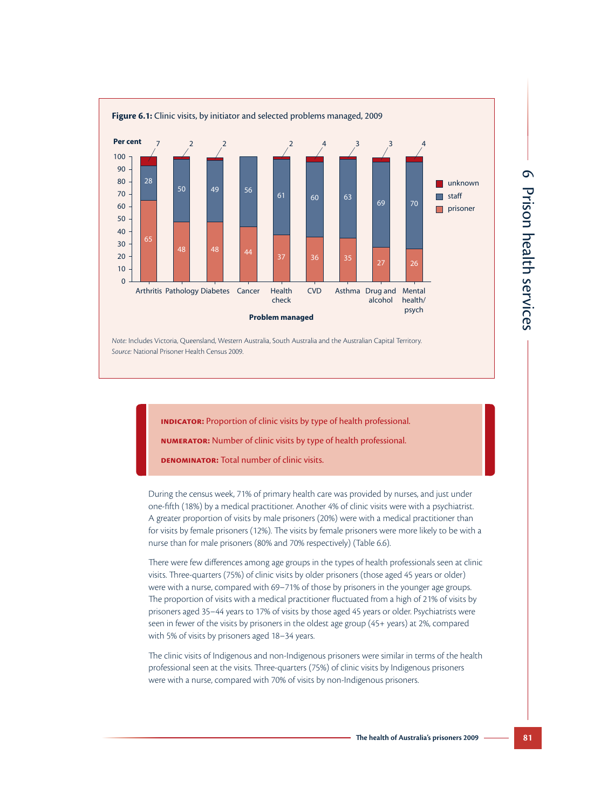

*Note:* Includes Victoria, Queensland, Western Australia, South Australia and the Australian Capital Territory. *Source:* National Prisoner Health Census 2009.

**INDICATOR:** Proportion of clinic visits by type of health professional.

**Numerator:** Number of clinic visits by type of health professional.

**DENOMINATOR:** Total number of clinic visits.

During the census week, 71% of primary health care was provided by nurses, and just under one-fifth (18%) by a medical practitioner. Another 4% of clinic visits were with a psychiatrist. A greater proportion of visits by male prisoners (20%) were with a medical practitioner than for visits by female prisoners (12%). The visits by female prisoners were more likely to be with a nurse than for male prisoners (80% and 70% respectively) (Table 6.6).

There were few differences among age groups in the types of health professionals seen at clinic visits. Three-quarters (75%) of clinic visits by older prisoners (those aged 45 years or older) were with a nurse, compared with 69–71% of those by prisoners in the younger age groups. The proportion of visits with a medical practitioner fluctuated from a high of 21% of visits by prisoners aged 35–44 years to 17% of visits by those aged 45 years or older. Psychiatrists were seen in fewer of the visits by prisoners in the oldest age group (45+ years) at 2%, compared with 5% of visits by prisoners aged 18–34 years.

The clinic visits of Indigenous and non-Indigenous prisoners were similar in terms of the health professional seen at the visits. Three-quarters (75%) of clinic visits by Indigenous prisoners were with a nurse, compared with 70% of visits by non-Indigenous prisoners.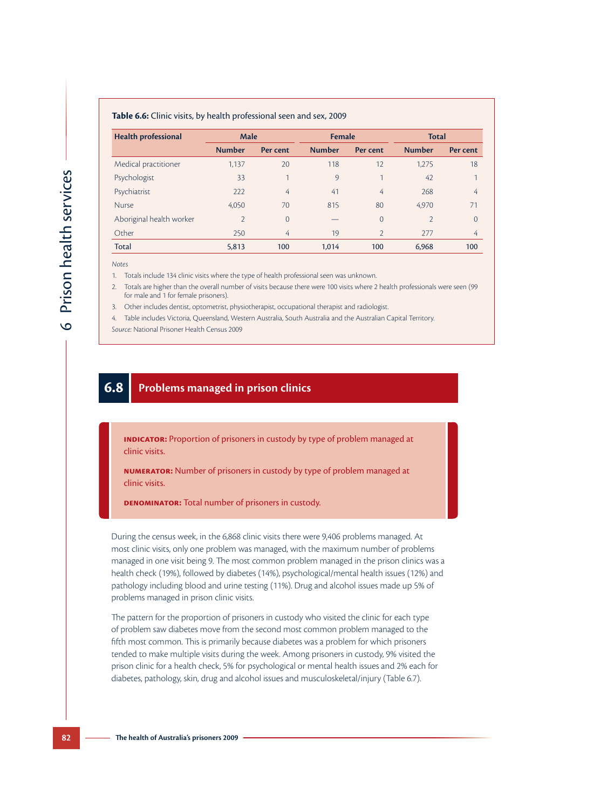#### **Table 6.6:** Clinic visits, by health professional seen and sex, 2009

| <b>Health professional</b> | <b>Male</b>    |                | Female        |                | <b>Total</b>   |                |  |
|----------------------------|----------------|----------------|---------------|----------------|----------------|----------------|--|
|                            | <b>Number</b>  | Per cent       | <b>Number</b> | Per cent       | <b>Number</b>  | Per cent       |  |
| Medical practitioner       | 1,137          | 20             | 118           | 12             | 1,275          | 18             |  |
| Psychologist               | 33             |                | 9             | 1              | 42             | 1              |  |
| Psychiatrist               | 222            | 4              | 41            | 4              | 268            | 4              |  |
| <b>Nurse</b>               | 4.050          | 70             | 815           | 80             | 4.970          | 71             |  |
| Aboriginal health worker   | $\overline{2}$ | $\overline{0}$ |               | $\overline{0}$ | $\overline{2}$ | $\overline{0}$ |  |
| Other                      | 250            | 4              | 19            | $\overline{2}$ | 277            | 4              |  |
| <b>Total</b>               | 5,813          | 100            | 1.014         | 100            | 6,968          | 100            |  |

*Notes*

1. Totals include 134 clinic visits where the type of health professional seen was unknown.

2. Totals are higher than the overall number of visits because there were 100 visits where 2 health professionals were seen (99 for male and 1 for female prisoners).

3. Other includes dentist, optometrist, physiotherapist, occupational therapist and radiologist.

4. Table includes Victoria, Queensland, Western Australia, South Australia and the Australian Capital Territory.

*Source:* National Prisoner Health Census 2009

#### **6.8 Problems managed in prison clinics**

**INDICATOR:** Proportion of prisoners in custody by type of problem managed at clinic visits.

**Numerator:** Number of prisoners in custody by type of problem managed at clinic visits.

**Denominator:** Total number of prisoners in custody.

During the census week, in the 6,868 clinic visits there were 9,406 problems managed. At most clinic visits, only one problem was managed, with the maximum number of problems managed in one visit being 9. The most common problem managed in the prison clinics was a health check (19%), followed by diabetes (14%), psychological/mental health issues (12%) and pathology including blood and urine testing (11%). Drug and alcohol issues made up 5% of problems managed in prison clinic visits.

The pattern for the proportion of prisoners in custody who visited the clinic for each type of problem saw diabetes move from the second most common problem managed to the fifth most common. This is primarily because diabetes was a problem for which prisoners tended to make multiple visits during the week. Among prisoners in custody, 9% visited the prison clinic for a health check, 5% for psychological or mental health issues and 2% each for diabetes, pathology, skin, drug and alcohol issues and musculoskeletal/injury (Table 6.7).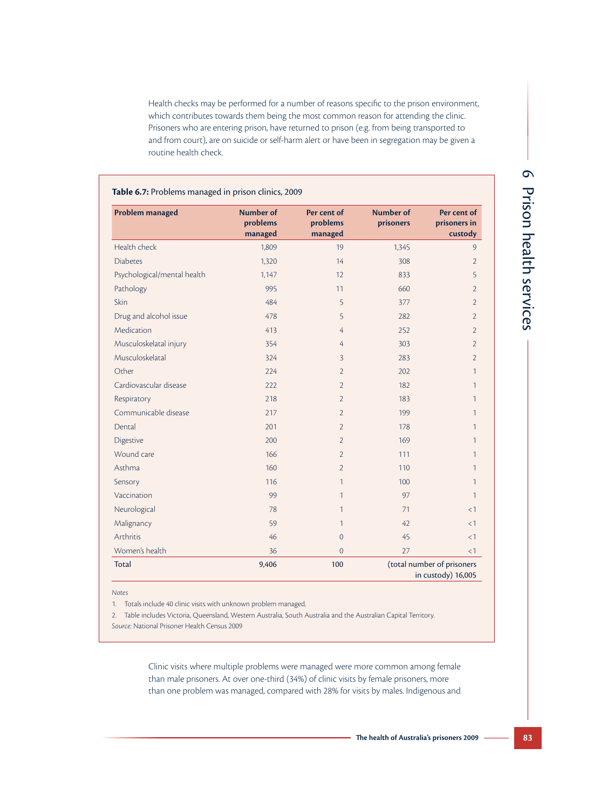Health checks may be performed for a number of reasons specific to the prison environment, which contributes towards them being the most common reason for attending the clinic. Prisoners who are entering prison, have returned to prison (e.g. from being transported to and from court), are on suicide or self-harm alert or have been in segregation may be given a routine health check.

| Problem managed             | <b>Number of</b><br>problems<br>managed | Per cent of<br>problems<br>managed | <b>Number of</b><br>prisoners | Per cent of<br>prisoners in<br>custody           |
|-----------------------------|-----------------------------------------|------------------------------------|-------------------------------|--------------------------------------------------|
| Health check                | 1,809                                   | 19                                 | 1,345                         | $\overline{9}$                                   |
| <b>Diabetes</b>             | 1,320                                   | 14                                 | 308                           | $\overline{2}$                                   |
| Psychological/mental health | 1,147                                   | 12                                 | 833                           | 5                                                |
| Pathology                   | 995                                     | 11                                 | 660                           | 2                                                |
| Skin                        | 484                                     | 5                                  | 377                           | $\overline{2}$                                   |
| Drug and alcohol issue      | 478                                     | 5                                  | 282                           | $\overline{2}$                                   |
| Medication                  | 413                                     | 4                                  | 252                           | $\overline{2}$                                   |
| Musculoskelatal injury      | 354                                     | 4                                  | 303                           | $\overline{2}$                                   |
| Musculoskelatal             | 324                                     | 3                                  | 283                           | $\overline{2}$                                   |
| Other                       | 224                                     | $\overline{2}$                     | 202                           | 1                                                |
| Cardiovascular disease      | 222                                     | $\overline{2}$                     | 182                           | 1                                                |
| Respiratory                 | 218                                     | $\overline{2}$                     | 183                           | 1                                                |
| Communicable disease        | 217                                     | $\overline{2}$                     | 199                           | 1                                                |
| Dental                      | 201                                     | $\overline{2}$                     | 178                           | 1                                                |
| Digestive                   | 200                                     | $\overline{2}$                     | 169                           | 1                                                |
| Wound care                  | 166                                     | $\overline{2}$                     | 111                           | 1                                                |
| Asthma                      | 160                                     | $\overline{2}$                     | 110                           | 1                                                |
| Sensory                     | 116                                     | $\mathbf{1}$                       | 100                           | 1                                                |
| Vaccination                 | 99                                      | $\mathbf{1}$                       | 97                            | 1                                                |
| Neurological                | 78                                      | 1                                  | 71                            | $\leq$ 1                                         |
| Malignancy                  | 59                                      | $\mathbf{1}$                       | 42                            | $<$ 1                                            |
| Arthritis                   | 46                                      | $\overline{0}$                     | 45                            | <1                                               |
| Women's health              | 36                                      | $\overline{0}$                     | 27                            | <1                                               |
| <b>Total</b>                | 9,406                                   | 100                                |                               | (total number of prisoners<br>in custody) 16,005 |

Prison health services Prison health services

6

*Notes*

1. Totals include 40 clinic visits with unknown problem managed.

2. Table includes Victoria, Queensland, Western Australia, South Australia and the Australian Capital Territory. *Source:* National Prisoner Health Census 2009

> Clinic visits where multiple problems were managed were more common among female than male prisoners. At over one-third (34%) of clinic visits by female prisoners, more than one problem was managed, compared with 28% for visits by males. Indigenous and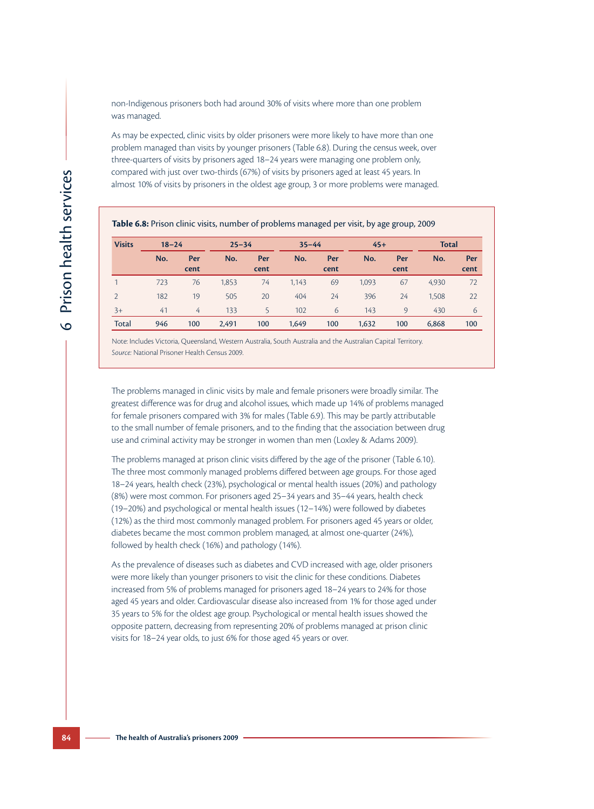non-Indigenous prisoners both had around 30% of visits where more than one problem was managed.

As may be expected, clinic visits by older prisoners were more likely to have more than one problem managed than visits by younger prisoners (Table 6.8). During the census week, over three-quarters of visits by prisoners aged 18–24 years were managing one problem only, compared with just over two-thirds (67%) of visits by prisoners aged at least 45 years. In almost 10% of visits by prisoners in the oldest age group, 3 or more problems were managed.

| <b>Visits</b> | $18 - 24$ |      | $25 - 34$ |      | $35 - 44$ |      | $45+$ |      | <b>Total</b> |      |
|---------------|-----------|------|-----------|------|-----------|------|-------|------|--------------|------|
|               | No.       | Per  | No.       | Per  | No.       | Per  | No.   | Per  | No.          | Per  |
|               |           | cent |           | cent |           | cent |       | cent |              | cent |
|               | 723       | 76   | 1,853     | 74   | 1,143     | 69   | 1,093 | 67   | 4,930        | 72   |
| $\mathcal{D}$ | 182       | 19   | 505       | 20   | 404       | 24   | 396   | 24   | 1,508        | 22   |
| $3+$          | 41        | 4    | 133       | 5    | 102       | 6    | 143   | 9    | 430          | 6    |
| Total         | 946       | 100  | 2,491     | 100  | 1,649     | 100  | 1,632 | 100  | 6,868        | 100  |

Note: Includes Victoria, Queensland, Western Australia, South Australia and the Australian Capital Territory. *Source:* National Prisoner Health Census 2009.

The problems managed in clinic visits by male and female prisoners were broadly similar. The greatest difference was for drug and alcohol issues, which made up 14% of problems managed for female prisoners compared with 3% for males (Table 6.9). This may be partly attributable to the small number of female prisoners, and to the finding that the association between drug use and criminal activity may be stronger in women than men (Loxley & Adams 2009).

The problems managed at prison clinic visits differed by the age of the prisoner (Table 6.10). The three most commonly managed problems differed between age groups. For those aged 18–24 years, health check (23%), psychological or mental health issues (20%) and pathology (8%) were most common. For prisoners aged 25–34 years and 35–44 years, health check (19–20%) and psychological or mental health issues (12–14%) were followed by diabetes (12%) as the third most commonly managed problem. For prisoners aged 45 years or older, diabetes became the most common problem managed, at almost one-quarter (24%), followed by health check (16%) and pathology (14%).

As the prevalence of diseases such as diabetes and CVD increased with age, older prisoners were more likely than younger prisoners to visit the clinic for these conditions. Diabetes increased from 5% of problems managed for prisoners aged 18–24 years to 24% for those aged 45 years and older. Cardiovascular disease also increased from 1% for those aged under 35 years to 5% for the oldest age group. Psychological or mental health issues showed the opposite pattern, decreasing from representing 20% of problems managed at prison clinic visits for 18–24 year olds, to just 6% for those aged 45 years or over.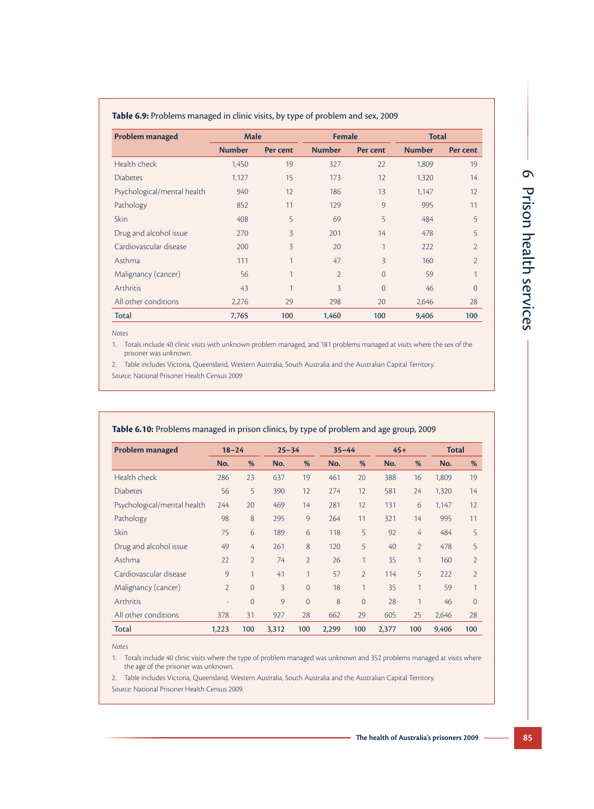| <b>Table 6.9:</b> Problems managed in clinic visits, by type of problem and sex, 2009 |  |  |  |
|---------------------------------------------------------------------------------------|--|--|--|
|---------------------------------------------------------------------------------------|--|--|--|

| <b>Problem managed</b>      | <b>Male</b>   |              | <b>Female</b>  |                | <b>Total</b>  |                |  |
|-----------------------------|---------------|--------------|----------------|----------------|---------------|----------------|--|
|                             | <b>Number</b> | Per cent     | <b>Number</b>  | Per cent       | <b>Number</b> | Per cent       |  |
| Health check                | 1,450         | 19           | 327            | 22             | 1,809         | 19             |  |
| <b>Diabetes</b>             | 1,127         | 15           | 173            | 12             | 1,320         | 14             |  |
| Psychological/mental health | 940           | 12           | 186            | 13             | 1,147         | 12             |  |
| Pathology                   | 852           | 11           | 129            | 9              | 995           | 11             |  |
| <b>Skin</b>                 | 408           | 5            | 69             | 5              | 484           | 5              |  |
| Drug and alcohol issue      | 270           | 3            | 201            | 14             | 478           | 5              |  |
| Cardiovascular disease      | 200           | 3            | 20             | $\mathbf{1}$   | 222           | $\overline{2}$ |  |
| Asthma                      | 111           | $\mathbf{1}$ | 47             | $\overline{3}$ | 160           | $\overline{2}$ |  |
| Malignancy (cancer)         | 56            | $\mathbf{1}$ | $\overline{2}$ | $\Omega$       | 59            | 1              |  |
| <b>Arthritis</b>            | 43            | 1            | 3              | $\overline{0}$ | 46            | $\Omega$       |  |
| All other conditions        | 2,276         | 29           | 298            | 20             | 2,646         | 28             |  |
| Total                       | 7,765         | 100          | 1,460          | 100            | 9,406         | 100            |  |

*Notes*

1. Totals include 40 clinic visits with unknown problem managed, and 181 problems managed at visits where the sex of the prisoner was unknown.

2. Table includes Victoria, Queensland, Western Australia, South Australia and the Australian Capital Territory. *Source:* National Prisoner Health Census 2009

| <b>Problem managed</b>      | $18 - 24$                |                | $25 - 34$      |                | $35 - 44$ |                | $45+$ |                | <b>Total</b> |                |
|-----------------------------|--------------------------|----------------|----------------|----------------|-----------|----------------|-------|----------------|--------------|----------------|
|                             | No.                      | %              | No.            | %              | No.       | %              | No.   | %              | No.          | %              |
| Health check                | 286                      | 23             | 637            | 19             | 461       | 20             | 388   | 16             | 1,809        | 19             |
| <b>Diabetes</b>             | 56                       | 5              | 390            | 12             | 274       | 12             | 581   | 24             | 1,320        | 14             |
| Psychological/mental health | 244                      | 20             | 469            | 14             | 281       | 12             | 131   | 6              | 1,147        | 12             |
| Pathology                   | 98                       | 8              | 295            | 9              | 264       | 11             | 321   | 14             | 995          | 11             |
| Skin                        | 75                       | 6              | 189            | 6              | 118       | 5              | 92    | 4              | 484          | 5              |
| Drug and alcohol issue      | 49                       | 4              | 261            | 8              | 120       | 5              | 40    | $\overline{2}$ | 478          | 5              |
| Asthma                      | 22                       | $\overline{2}$ | 74             | $\overline{2}$ | 26        | 1              | 35    | 1              | 160          | $\overline{2}$ |
| Cardiovascular disease      | 9                        | 1              | 41             | 1              | 57        | $\overline{2}$ | 114   | 5              | 222          | $\overline{2}$ |
| Malignancy (cancer)         | $\overline{2}$           | $\overline{0}$ | $\overline{3}$ | $\overline{0}$ | 18        | 1              | 35    | 1              | 59           | 1              |
| Arthritis                   | $\overline{\phantom{a}}$ | $\overline{0}$ | 9              | $\Omega$       | 8         | $\Omega$       | 28    | 1              | 46           | $\Omega$       |
| All other conditions        | 378                      | 31             | 927            | 28             | 662       | 29             | 605   | 25             | 2,646        | 28             |
| Total                       | 1,223                    | 100            | 3,312          | 100            | 2,299     | 100            | 2,377 | 100            | 9,406        | 100            |

#### **Table 6.10:** Problems managed in prison clinics, by type of problem and age group, 2009

*Notes*

1. Totals include 40 clinic visits where the type of problem managed was unknown and 352 problems managed at visits where the age of the prisoner was unknown.

2. Table includes Victoria, Queensland, Western Australia, South Australia and the Australian Capital Territory.

*Source:* National Prisoner Health Census 2009.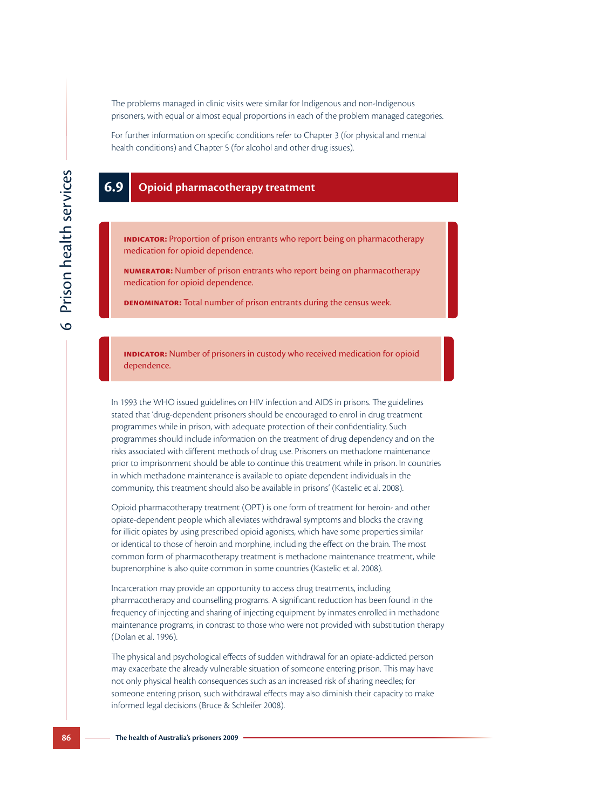The problems managed in clinic visits were similar for Indigenous and non-Indigenous prisoners, with equal or almost equal proportions in each of the problem managed categories.

For further information on specific conditions refer to Chapter 3 (for physical and mental health conditions) and Chapter 5 (for alcohol and other drug issues).

#### **6.9 Opioid pharmacotherapy treatment**

**INDICATOR:** Proportion of prison entrants who report being on pharmacotherapy medication for opioid dependence.

**Numerator:** Number of prison entrants who report being on pharmacotherapy medication for opioid dependence.

**DENOMINATOR:** Total number of prison entrants during the census week.

**INDICATOR:** Number of prisoners in custody who received medication for opioid dependence.

In 1993 the WHO issued guidelines on HIV infection and AIDS in prisons. The guidelines stated that 'drug-dependent prisoners should be encouraged to enrol in drug treatment programmes while in prison, with adequate protection of their confidentiality. Such programmes should include information on the treatment of drug dependency and on the risks associated with different methods of drug use. Prisoners on methadone maintenance prior to imprisonment should be able to continue this treatment while in prison. In countries in which methadone maintenance is available to opiate dependent individuals in the community, this treatment should also be available in prisons' (Kastelic et al. 2008).

Opioid pharmacotherapy treatment (OPT) is one form of treatment for heroin- and other opiate-dependent people which alleviates withdrawal symptoms and blocks the craving for illicit opiates by using prescribed opioid agonists, which have some properties similar or identical to those of heroin and morphine, including the effect on the brain. The most common form of pharmacotherapy treatment is methadone maintenance treatment, while buprenorphine is also quite common in some countries (Kastelic et al. 2008).

Incarceration may provide an opportunity to access drug treatments, including pharmacotherapy and counselling programs. A significant reduction has been found in the frequency of injecting and sharing of injecting equipment by inmates enrolled in methadone maintenance programs, in contrast to those who were not provided with substitution therapy (Dolan et al. 1996).

The physical and psychological effects of sudden withdrawal for an opiate-addicted person may exacerbate the already vulnerable situation of someone entering prison. This may have not only physical health consequences such as an increased risk of sharing needles; for someone entering prison, such withdrawal effects may also diminish their capacity to make informed legal decisions (Bruce & Schleifer 2008).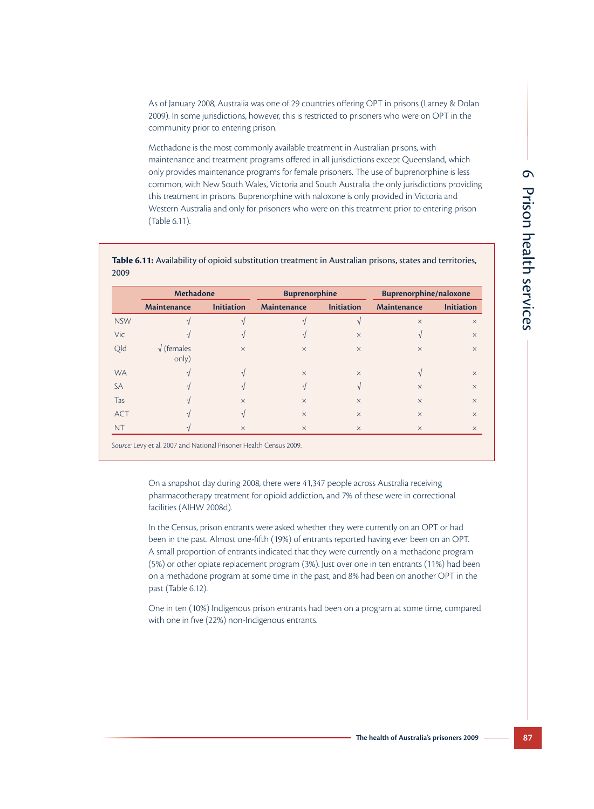As of January 2008, Australia was one of 29 countries offering OPT in prisons (Larney & Dolan 2009). In some jurisdictions, however, this is restricted to prisoners who were on OPT in the community prior to entering prison.

Methadone is the most commonly available treatment in Australian prisons, with maintenance and treatment programs offered in all jurisdictions except Queensland, which only provides maintenance programs for female prisoners. The use of buprenorphine is less common, with New South Wales, Victoria and South Australia the only jurisdictions providing this treatment in prisons. Buprenorphine with naloxone is only provided in Victoria and Western Australia and only for prisoners who were on this treatment prior to entering prison (Table 6.11).

|            | <b>Methadone</b>            |                   | <b>Buprenorphine</b>     |                   | <b>Buprenorphine/naloxone</b> |                   |  |
|------------|-----------------------------|-------------------|--------------------------|-------------------|-------------------------------|-------------------|--|
|            | <b>Maintenance</b>          | <b>Initiation</b> | <b>Maintenance</b>       | <b>Initiation</b> | <b>Maintenance</b>            | <b>Initiation</b> |  |
| <b>NSW</b> |                             | $\mathcal{N}$     |                          |                   | $\times$                      | $\times$          |  |
| <b>Vic</b> |                             | $\mathcal{N}$     | $\mathcal{L}$            | $\times$          |                               | $\times$          |  |
| Qld        | $\sqrt{}$ (females<br>only) | $\times$          | $\times$                 | $\times$          | $\times$                      | $\times$          |  |
| <b>WA</b>  |                             | N                 | $\times$                 | $\times$          |                               | $\times$          |  |
| <b>SA</b>  |                             | $\mathcal{N}$     | $\overline{\mathcal{N}}$ |                   | $\times$                      | $\times$          |  |
| Tas        |                             | $\times$          | $\times$                 | $\times$          | $\times$                      | $\times$          |  |
| <b>ACT</b> |                             | $\sqrt{ }$        | $\times$                 | $\times$          | $\times$                      | $\times$          |  |
| <b>NT</b>  |                             | $\times$          | $\times$                 | $\times$          | $\times$                      | $\times$          |  |

**Table 6.11:** Availability of opioid substitution treatment in Australian prisons, states and territories, 2009

*Source:* Levy et al. 2007 and National Prisoner Health Census 2009.

On a snapshot day during 2008, there were 41,347 people across Australia receiving pharmacotherapy treatment for opioid addiction, and 7% of these were in correctional facilities (AIHW 2008d).

In the Census, prison entrants were asked whether they were currently on an OPT or had been in the past. Almost one-fifth (19%) of entrants reported having ever been on an OPT. A small proportion of entrants indicated that they were currently on a methadone program (5%) or other opiate replacement program (3%). Just over one in ten entrants (11%) had been on a methadone program at some time in the past, and 8% had been on another OPT in the past (Table 6.12).

One in ten (10%) Indigenous prison entrants had been on a program at some time, compared with one in five (22%) non-Indigenous entrants.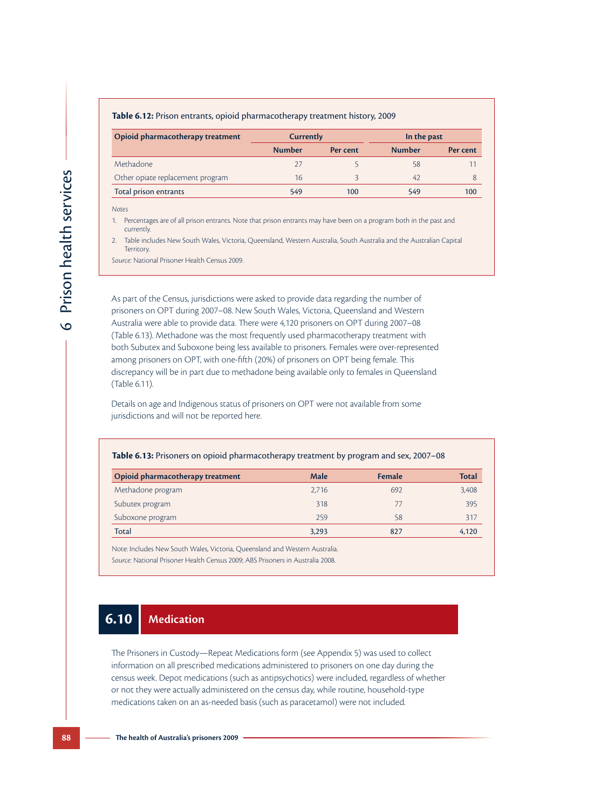| Table 6.12: Prison entrants, opioid pharmacotherapy treatment history, 2009 |  |  |  |
|-----------------------------------------------------------------------------|--|--|--|
|-----------------------------------------------------------------------------|--|--|--|

| Opioid pharmacotherapy treatment | <b>Currently</b> |          | In the past   |          |  |  |
|----------------------------------|------------------|----------|---------------|----------|--|--|
|                                  | <b>Number</b>    | Per cent | <b>Number</b> | Per cent |  |  |
| Methadone                        |                  |          | 58            |          |  |  |
| Other opiate replacement program | 16               |          | 42            |          |  |  |
| Total prison entrants            | 549              | 100      | 549           | 100      |  |  |

*Notes*

 $\circ$ 

Prison health services

Prison health services

1. Percentages are of all prison entrants. Note that prison entrants may have been on a program both in the past and currently.

2. Table includes New South Wales, Victoria, Queensland, Western Australia, South Australia and the Australian Capital Territory.

*Source:* National Prisoner Health Census 2009.

As part of the Census, jurisdictions were asked to provide data regarding the number of prisoners on OPT during 2007–08. New South Wales, Victoria, Queensland and Western Australia were able to provide data. There were 4,120 prisoners on OPT during 2007–08 (Table 6.13). Methadone was the most frequently used pharmacotherapy treatment with both Subutex and Suboxone being less available to prisoners. Females were over-represented among prisoners on OPT, with one-fifth (20%) of prisoners on OPT being female. This discrepancy will be in part due to methadone being available only to females in Queensland (Table 6.11).

Details on age and Indigenous status of prisoners on OPT were not available from some jurisdictions and will not be reported here.

#### **Table 6.13:** Prisoners on opioid pharmacotherapy treatment by program and sex, 2007–08

| Opioid pharmacotherapy treatment | Male  | <b>Female</b> | Total |
|----------------------------------|-------|---------------|-------|
| Methadone program                | 2,716 | 692           | 3,408 |
| Subutex program                  | 318   | 77            | 395   |
| Suboxone program                 | 259   | 58            | 317   |
| <b>Total</b>                     | 3,293 | 827           | 4,120 |

Note: Includes New South Wales, Victoria, Queensland and Western Australia. *Source:* National Prisoner Health Census 2009; ABS Prisoners in Australia 2008.

# **6.10 Medication**

The Prisoners in Custody—Repeat Medications form (see Appendix 5) was used to collect information on all prescribed medications administered to prisoners on one day during the census week. Depot medications (such as antipsychotics) were included, regardless of whether or not they were actually administered on the census day, while routine, household-type medications taken on an as-needed basis (such as paracetamol) were not included.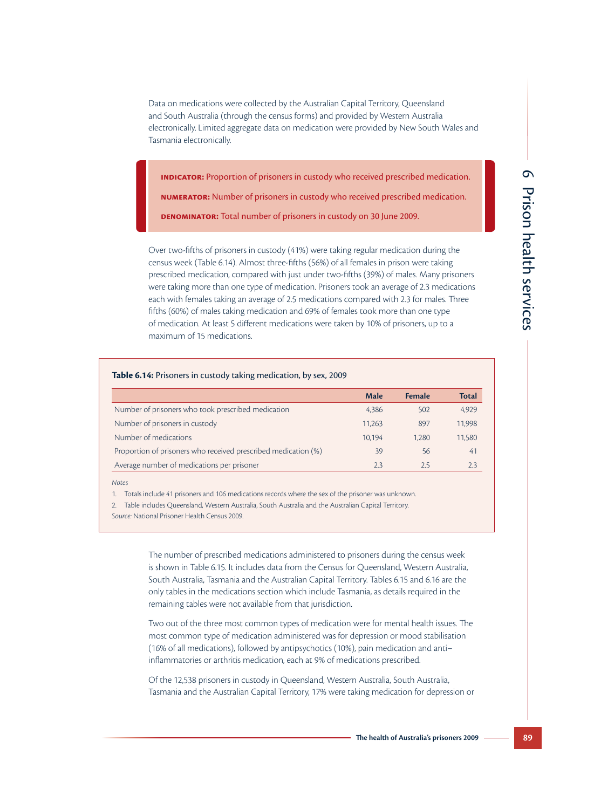Data on medications were collected by the Australian Capital Territory, Queensland and South Australia (through the census forms) and provided by Western Australia electronically. Limited aggregate data on medication were provided by New South Wales and Tasmania electronically.

**Indicator:** Proportion of prisoners in custody who received prescribed medication. **Numerator:** Number of prisoners in custody who received prescribed medication. **Denominator:** Total number of prisoners in custody on 30 June 2009.

Over two-fifths of prisoners in custody (41%) were taking regular medication during the census week (Table 6.14). Almost three-fifths (56%) of all females in prison were taking prescribed medication, compared with just under two-fifths (39%) of males. Many prisoners were taking more than one type of medication. Prisoners took an average of 2.3 medications each with females taking an average of 2.5 medications compared with 2.3 for males. Three fifths (60%) of males taking medication and 69% of females took more than one type of medication. At least 5 different medications were taken by 10% of prisoners, up to a maximum of 15 medications.

|                                                                | Male   | <b>Female</b> | <b>Total</b> |
|----------------------------------------------------------------|--------|---------------|--------------|
| Number of prisoners who took prescribed medication             | 4.386  | 502           | 4,929        |
| Number of prisoners in custody                                 | 11.263 | 897           | 11.998       |
| Number of medications                                          | 10.194 | 1.280         | 11,580       |
| Proportion of prisoners who received prescribed medication (%) | 39     | 56            | 41           |
| Average number of medications per prisoner                     | 2.3    | 2.5           | 2.3          |

*Notes*

1. Totals include 41 prisoners and 106 medications records where the sex of the prisoner was unknown.

2. Table includes Queensland, Western Australia, South Australia and the Australian Capital Territory.

*Source:* National Prisoner Health Census 2009.

The number of prescribed medications administered to prisoners during the census week is shown in Table 6.15. It includes data from the Census for Queensland, Western Australia, South Australia, Tasmania and the Australian Capital Territory. Tables 6.15 and 6.16 are the only tables in the medications section which include Tasmania, as details required in the remaining tables were not available from that jurisdiction.

Two out of the three most common types of medication were for mental health issues. The most common type of medication administered was for depression or mood stabilisation (16% of all medications), followed by antipsychotics (10%), pain medication and anti– inflammatories or arthritis medication, each at 9% of medications prescribed.

Of the 12,538 prisoners in custody in Queensland, Western Australia, South Australia, Tasmania and the Australian Capital Territory, 17% were taking medication for depression or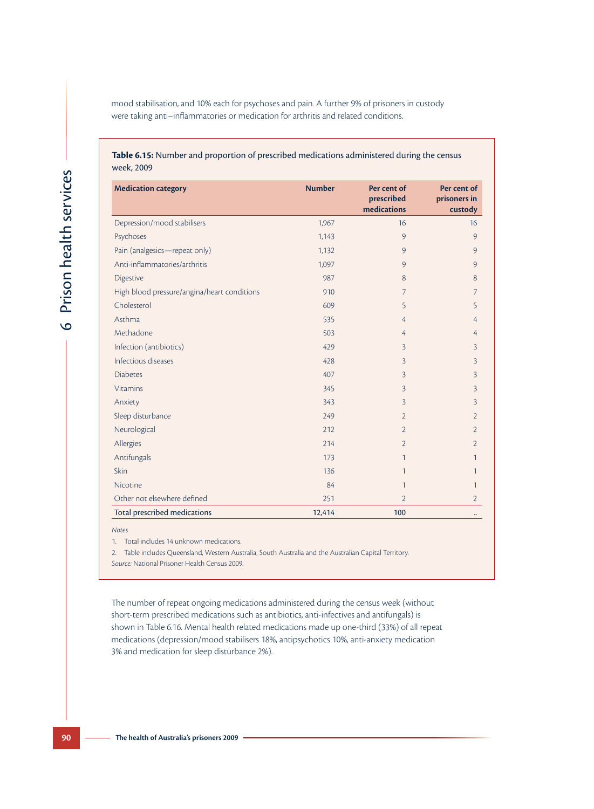mood stabilisation, and 10% each for psychoses and pain. A further 9% of prisoners in custody were taking anti–inflammatories or medication for arthritis and related conditions.

#### **Table 6.15:** Number and proportion of prescribed medications administered during the census week, 2009

| <b>Medication category</b>                  | <b>Number</b> | Per cent of<br>prescribed<br>medications | Per cent of<br>prisoners in<br>custody |
|---------------------------------------------|---------------|------------------------------------------|----------------------------------------|
| Depression/mood stabilisers                 | 1,967         | 16                                       | 16                                     |
| Psychoses                                   | 1,143         | 9                                        | 9                                      |
| Pain (analgesics-repeat only)               | 1,132         | 9                                        | 9                                      |
| Anti-inflammatories/arthritis               | 1,097         | 9                                        | 9                                      |
| Digestive                                   | 987           | 8                                        | 8                                      |
| High blood pressure/angina/heart conditions | 910           | 7                                        | 7                                      |
| Cholesterol                                 | 609           | 5                                        | 5                                      |
| Asthma                                      | 535           | 4                                        | 4                                      |
| Methadone                                   | 503           | 4                                        | 4                                      |
| Infection (antibiotics)                     | 429           | 3                                        | 3                                      |
| Infectious diseases                         | 428           | 3                                        | 3                                      |
| <b>Diabetes</b>                             | 407           | 3                                        | 3                                      |
| <b>Vitamins</b>                             | 345           | 3                                        | 3                                      |
| Anxiety                                     | 343           | 3                                        | 3                                      |
| Sleep disturbance                           | 249           | $\overline{2}$                           | $\overline{2}$                         |
| Neurological                                | 212           | $\overline{2}$                           | $\overline{2}$                         |
| Allergies                                   | 214           | $\overline{2}$                           | $\overline{2}$                         |
| Antifungals                                 | 173           | 1                                        | 1                                      |
| Skin                                        | 136           | 1                                        | 1                                      |
| Nicotine                                    | 84            | $\mathbf{1}$                             | 1                                      |
| Other not elsewhere defined                 | 251           | $\overline{2}$                           | $\overline{2}$                         |
| Total prescribed medications                | 12,414        | 100                                      | $\ddotsc$                              |

*Notes*

1. Total includes 14 unknown medications.

2. Table includes Queensland, Western Australia, South Australia and the Australian Capital Territory. *Source:* National Prisoner Health Census 2009.

The number of repeat ongoing medications administered during the census week (without short-term prescribed medications such as antibiotics, anti-infectives and antifungals) is shown in Table 6.16. Mental health related medications made up one-third (33%) of all repeat medications (depression/mood stabilisers 18%, antipsychotics 10%, anti-anxiety medication 3% and medication for sleep disturbance 2%).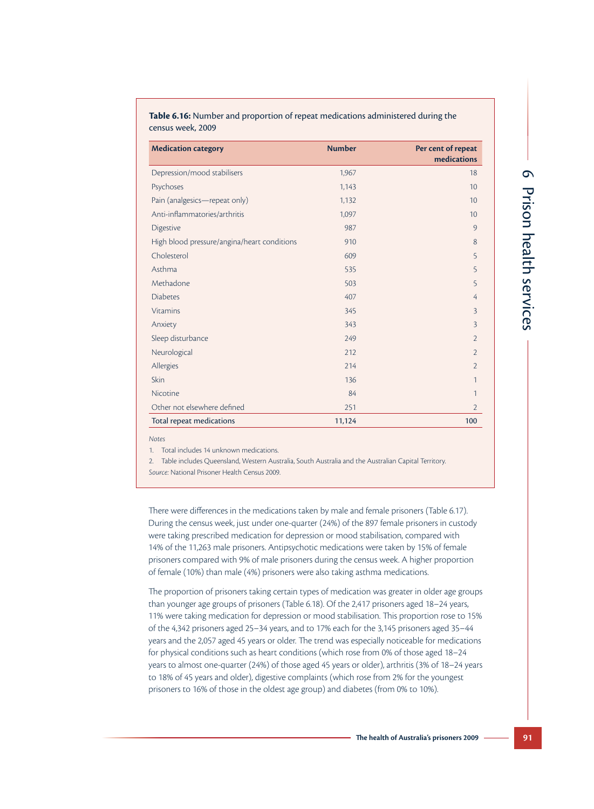| <b>Medication category</b>                  | <b>Number</b> | Per cent of repeat<br>medications |
|---------------------------------------------|---------------|-----------------------------------|
| Depression/mood stabilisers                 | 1,967         | 18                                |
| Psychoses                                   | 1,143         | 10                                |
| Pain (analgesics-repeat only)               | 1,132         | 10                                |
| Anti-inflammatories/arthritis               | 1,097         | 10                                |
| Digestive                                   | 987           | 9                                 |
| High blood pressure/angina/heart conditions | 910           | 8                                 |
| Cholesterol                                 | 609           | 5                                 |
| Asthma                                      | 535           | 5                                 |
| Methadone                                   | 503           | 5                                 |
| <b>Diabetes</b>                             | 407           | 4                                 |
| <b>Vitamins</b>                             | 345           | $\overline{3}$                    |
| Anxiety                                     | 343           | $\overline{3}$                    |
| Sleep disturbance                           | 249           | $\overline{2}$                    |
| Neurological                                | 212           | $\overline{2}$                    |
| Allergies                                   | 214           | $\overline{2}$                    |
| Skin                                        | 136           | $\mathbf{1}$                      |
| Nicotine                                    | 84            | 1                                 |
| Other not elsewhere defined                 | 251           | $\overline{2}$                    |
| Total repeat medications                    | 11,124        | 100                               |

**Table 6.16:** Number and proportion of repeat medications administered during the census week, 2009

*Notes*

1. Total includes 14 unknown medications.

2. Table includes Queensland, Western Australia, South Australia and the Australian Capital Territory.

*Source:* National Prisoner Health Census 2009.

There were differences in the medications taken by male and female prisoners (Table 6.17). During the census week, just under one-quarter (24%) of the 897 female prisoners in custody were taking prescribed medication for depression or mood stabilisation, compared with 14% of the 11,263 male prisoners. Antipsychotic medications were taken by 15% of female prisoners compared with 9% of male prisoners during the census week. A higher proportion of female (10%) than male (4%) prisoners were also taking asthma medications.

The proportion of prisoners taking certain types of medication was greater in older age groups than younger age groups of prisoners (Table 6.18). Of the 2,417 prisoners aged 18–24 years, 11% were taking medication for depression or mood stabilisation. This proportion rose to 15% of the 4,342 prisoners aged 25–34 years, and to 17% each for the 3,145 prisoners aged 35–44 years and the 2,057 aged 45 years or older. The trend was especially noticeable for medications for physical conditions such as heart conditions (which rose from 0% of those aged 18–24 years to almost one-quarter (24%) of those aged 45 years or older), arthritis (3% of 18–24 years to 18% of 45 years and older), digestive complaints (which rose from 2% for the youngest prisoners to 16% of those in the oldest age group) and diabetes (from 0% to 10%).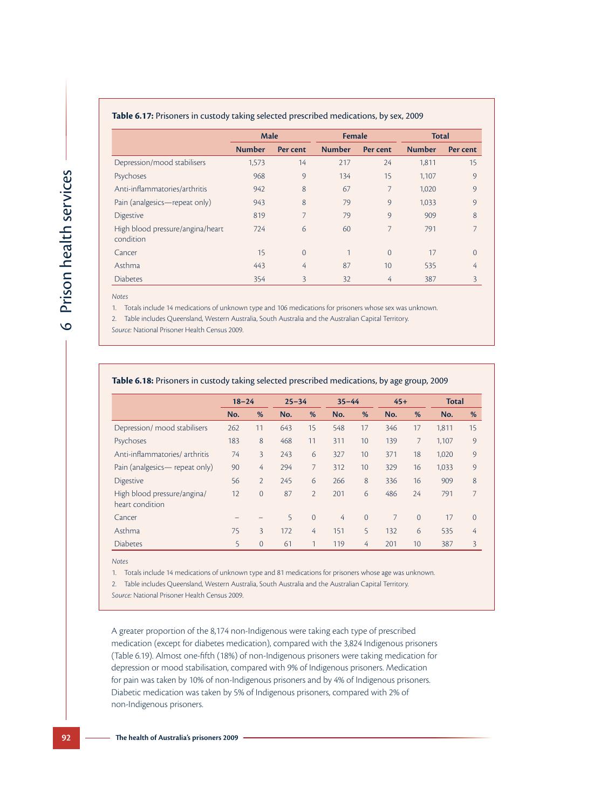| <b>Table 6.17:</b> Prisoners in custody taking selected prescribed medications, by sex, 2009 |               |                |               |          |               |                |  |  |  |
|----------------------------------------------------------------------------------------------|---------------|----------------|---------------|----------|---------------|----------------|--|--|--|
|                                                                                              | <b>Male</b>   |                | <b>Female</b> |          | <b>Total</b>  |                |  |  |  |
|                                                                                              | <b>Number</b> | Per cent       | <b>Number</b> | Per cent | <b>Number</b> | Per cent       |  |  |  |
| Depression/mood stabilisers                                                                  | 1,573         | 14             | 217           | 24       | 1,811         | 15             |  |  |  |
| Psychoses                                                                                    | 968           | 9              | 134           | 15       | 1,107         | 9              |  |  |  |
| Anti-inflammatories/arthritis                                                                | 942           | 8              | 67            | 7        | 1,020         | 9              |  |  |  |
| Pain (analgesics—repeat only)                                                                | 943           | 8              | 79            | 9        | 1,033         | 9              |  |  |  |
| <b>Digestive</b>                                                                             | 819           | 7              | 79            | 9        | 909           | 8              |  |  |  |
| High blood pressure/angina/heart<br>condition                                                | 724           | 6              | 60            | 7        | 791           | 7              |  |  |  |
| Cancer                                                                                       | 15            | $\overline{0}$ |               | $\Omega$ | 17            | $\overline{0}$ |  |  |  |
| Asthma                                                                                       | 443           | 4              | 87            | 10       | 535           | 4              |  |  |  |
| <b>Diabetes</b>                                                                              | 354           | $\overline{3}$ | 32            | 4        | 387           | 3              |  |  |  |

#### **Table 6.17:** Prisoners in custody taking selected prescribed medications, by sex, 2009

*Notes*

1. Totals include 14 medications of unknown type and 106 medications for prisoners whose sex was unknown.

2. Table includes Queensland, Western Australia, South Australia and the Australian Capital Territory.

*Source:* National Prisoner Health Census 2009.

| Table 6.18: Prisoners in custody taking selected prescribed medications, by age group, 2009 |           |                |           |                |           |                |                |          |       |                |
|---------------------------------------------------------------------------------------------|-----------|----------------|-----------|----------------|-----------|----------------|----------------|----------|-------|----------------|
|                                                                                             | $18 - 24$ |                | $25 - 34$ |                | $35 - 44$ |                | $45+$          |          | Total |                |
|                                                                                             | No.       | %              | No.       | %              | No.       | %              | No.            | %        | No.   | %              |
| Depression/ mood stabilisers                                                                | 262       | 11             | 643       | 15             | 548       | 17             | 346            | 17       | 1,811 | 15             |
| Psychoses                                                                                   | 183       | 8              | 468       | 11             | 311       | 10             | 139            | 7        | 1,107 | 9              |
| Anti-inflammatories/arthritis                                                               | 74        | 3              | 243       | 6              | 327       | 10             | 371            | 18       | 1,020 | 9              |
| Pain (analgesics— repeat only)                                                              | 90        | 4              | 294       | 7              | 312       | 10             | 329            | 16       | 1.033 | 9              |
| <b>Digestive</b>                                                                            | 56        | $\overline{2}$ | 245       | 6              | 266       | 8              | 336            | 16       | 909   | 8              |
| High blood pressure/angina/<br>heart condition                                              | 12        | $\overline{0}$ | 87        | $\overline{2}$ | 201       | 6              | 486            | 24       | 791   | 7              |
| Cancer                                                                                      |           |                | 5         | $\overline{0}$ | 4         | $\overline{0}$ | $\overline{7}$ | $\Omega$ | 17    | $\overline{0}$ |
| Asthma                                                                                      | 75        | 3              | 172       | 4              | 151       | 5              | 132            | 6        | 535   | 4              |
| <b>Diabetes</b>                                                                             | 5         | $\overline{0}$ | 61        | 1              | 119       | 4              | 201            | 10       | 387   | 3              |

*Notes*

1. Totals include 14 medications of unknown type and 81 medications for prisoners whose age was unknown.

2. Table includes Queensland, Western Australia, South Australia and the Australian Capital Territory.

*Source:* National Prisoner Health Census 2009.

A greater proportion of the 8,174 non-Indigenous were taking each type of prescribed medication (except for diabetes medication), compared with the 3,824 Indigenous prisoners (Table 6.19). Almost one-fifth (18%) of non-Indigenous prisoners were taking medication for depression or mood stabilisation, compared with 9% of Indigenous prisoners. Medication for pain was taken by 10% of non-Indigenous prisoners and by 4% of Indigenous prisoners. Diabetic medication was taken by 5% of Indigenous prisoners, compared with 2% of non-Indigenous prisoners.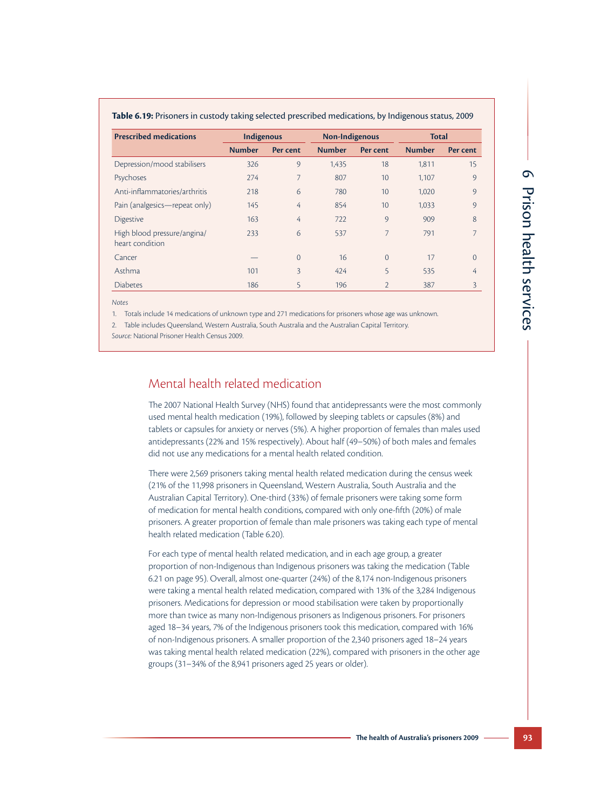| <b>Prescribed medications</b> | <b>Indigenous</b> |          | Non-Indigenous |                 | <b>Total</b>  |          |  |
|-------------------------------|-------------------|----------|----------------|-----------------|---------------|----------|--|
|                               | <b>Number</b>     | Per cent | <b>Number</b>  | Per cent        | <b>Number</b> | Per cent |  |
| Depression/mood stabilisers   | 326               | 9        | 1,435          | 18              | 1.811         | 15       |  |
| Psychoses                     | 274               | 7        | 807            | 10 <sup>1</sup> | 1,107         | 9        |  |
| Anti-inflammatories/arthritis | 218               | 6        | 780            | 10              | 1,020         | $\circ$  |  |
| Pain (analgesics—repeat only) | 145               | 4        | 854            | 10 <sup>°</sup> | 1,033         | 9        |  |
| <b>Digestive</b>              | 163               | 4        | 722            | 9               | 909           | 8        |  |
| High blood pressure/angina/   | 233               | 6        | 537            | 7               | 791           | 7        |  |
| heart condition               |                   |          |                |                 |               |          |  |
| Cancer                        |                   | $\Omega$ | 16             | $\Omega$        | 17            | $\Omega$ |  |
| Asthma                        | 101               | 3        | 424            | 5               | 535           | 4        |  |
| <b>Diabetes</b>               | 186               | 5        | 196            | $\overline{2}$  | 387           | 3        |  |

*Notes*

1. Totals include 14 medications of unknown type and 271 medications for prisoners whose age was unknown.

2. Table includes Queensland, Western Australia, South Australia and the Australian Capital Territory.

*Source:* National Prisoner Health Census 2009.

## Mental health related medication

The 2007 National Health Survey (NHS) found that antidepressants were the most commonly used mental health medication (19%), followed by sleeping tablets or capsules (8%) and tablets or capsules for anxiety or nerves (5%). A higher proportion of females than males used antidepressants (22% and 15% respectively). About half (49–50%) of both males and females did not use any medications for a mental health related condition.

There were 2,569 prisoners taking mental health related medication during the census week (21% of the 11,998 prisoners in Queensland, Western Australia, South Australia and the Australian Capital Territory). One-third (33%) of female prisoners were taking some form of medication for mental health conditions, compared with only one-fifth (20%) of male prisoners. A greater proportion of female than male prisoners was taking each type of mental health related medication (Table 6.20).

For each type of mental health related medication, and in each age group, a greater proportion of non-Indigenous than Indigenous prisoners was taking the medication (Table 6.21 on page 95). Overall, almost one-quarter (24%) of the 8,174 non-Indigenous prisoners were taking a mental health related medication, compared with 13% of the 3,284 Indigenous prisoners. Medications for depression or mood stabilisation were taken by proportionally more than twice as many non-Indigenous prisoners as Indigenous prisoners. For prisoners aged 18–34 years, 7% of the Indigenous prisoners took this medication, compared with 16% of non-Indigenous prisoners. A smaller proportion of the 2,340 prisoners aged 18–24 years was taking mental health related medication (22%), compared with prisoners in the other age groups (31–34% of the 8,941 prisoners aged 25 years or older).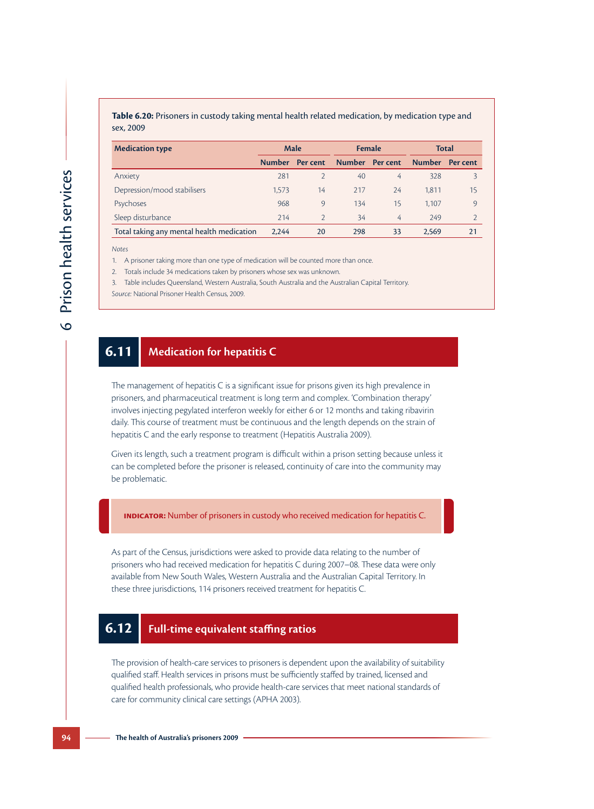#### **Table 6.20:** Prisoners in custody taking mental health related medication, by medication type and sex, 2009

| <b>Medication type</b>                    | <b>Male</b> |                |                | <b>Female</b> | Total         |                 |
|-------------------------------------------|-------------|----------------|----------------|---------------|---------------|-----------------|
|                                           |             | Number Percent | Number Percent |               | <b>Number</b> | <b>Per cent</b> |
| Anxiety                                   | 281         | $\mathcal{P}$  | 40             | 4             | 328           | 3               |
| Depression/mood stabilisers               | 1.573       | 14             | 217            | 24            | 1.811         | 15              |
| Psychoses                                 | 968         | $\circ$        | 134            | 15            | 1.107         | $\circ$         |
| Sleep disturbance                         | 214         | $\mathcal{P}$  | 34             | 4             | 249           |                 |
| Total taking any mental health medication | 2.244       | 20             | 298            | 33            | 2.569         | 21              |

*Notes*

1. A prisoner taking more than one type of medication will be counted more than once.

2. Totals include 34 medications taken by prisoners whose sex was unknown.

3. Table includes Queensland, Western Australia, South Australia and the Australian Capital Territory. *Source:* National Prisoner Health Census, 2009.

# **6.11 Medication for hepatitis C**

The management of hepatitis C is a significant issue for prisons given its high prevalence in prisoners, and pharmaceutical treatment is long term and complex. 'Combination therapy' involves injecting pegylated interferon weekly for either 6 or 12 months and taking ribavirin daily. This course of treatment must be continuous and the length depends on the strain of hepatitis C and the early response to treatment (Hepatitis Australia 2009).

Given its length, such a treatment program is difficult within a prison setting because unless it can be completed before the prisoner is released, continuity of care into the community may be problematic.

**Indicator:** Number of prisoners in custody who received medication for hepatitis C.

As part of the Census, jurisdictions were asked to provide data relating to the number of prisoners who had received medication for hepatitis C during 2007–08. These data were only available from New South Wales, Western Australia and the Australian Capital Territory. In these three jurisdictions, 114 prisoners received treatment for hepatitis C.

# **6.12 Full-time equivalent staffing ratios**

The provision of health-care services to prisoners is dependent upon the availability of suitability qualified staff. Health services in prisons must be sufficiently staffed by trained, licensed and qualified health professionals, who provide health-care services that meet national standards of care for community clinical care settings (APHA 2003).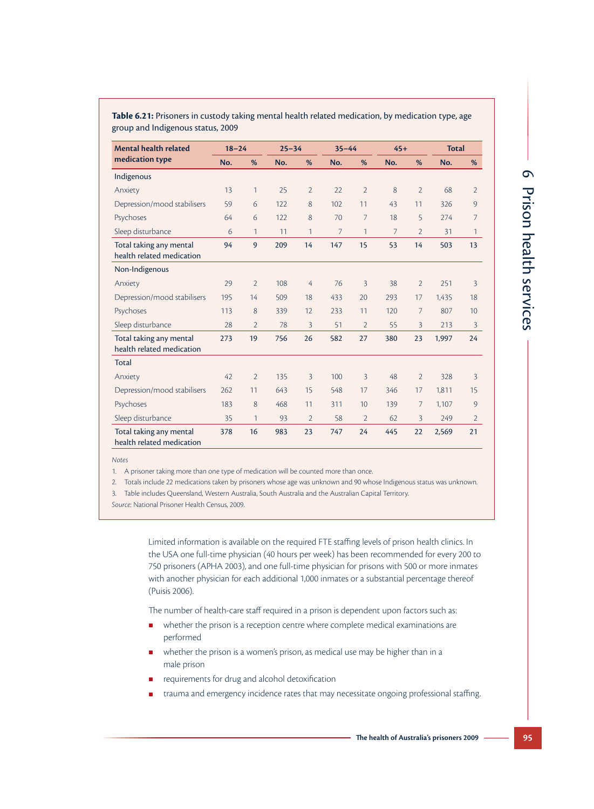6 Prison health services Prison health services

**Table 6.21:** Prisoners in custody taking mental health related medication, by medication type, age group and Indigenous status, 2009

| <b>Mental health related</b><br>medication type      | $18 - 24$ |                | $25 - 34$ |                | $35 - 44$      |                | $45+$          |                | <b>Total</b> |                |
|------------------------------------------------------|-----------|----------------|-----------|----------------|----------------|----------------|----------------|----------------|--------------|----------------|
|                                                      | No.       | %              | No.       | %              | No.            | %              | No.            | %              | No.          | %              |
| Indigenous                                           |           |                |           |                |                |                |                |                |              |                |
| Anxiety                                              | 13        | 1              | 25        | $\overline{2}$ | 22             | $\overline{2}$ | 8              | $\overline{2}$ | 68           | $\overline{2}$ |
| Depression/mood stabilisers                          | 59        | 6              | 122       | 8              | 102            | 11             | 43             | 11             | 326          | 9              |
| Psychoses                                            | 64        | 6              | 122       | 8              | 70             | $\overline{7}$ | 18             | 5              | 274          | $\overline{7}$ |
| Sleep disturbance                                    | 6         | 1              | 11        | 1              | $\overline{7}$ | $\mathbf{1}$   | $\overline{7}$ | $\overline{2}$ | 31           | $\mathbf{1}$   |
| Total taking any mental<br>health related medication | 94        | 9              | 209       | 14             | 147            | 15             | 53             | 14             | 503          | 13             |
| Non-Indigenous                                       |           |                |           |                |                |                |                |                |              |                |
| Anxiety                                              | 29        | $\overline{2}$ | 108       | 4              | 76             | $\overline{3}$ | 38             | $\overline{2}$ | 251          | $\overline{3}$ |
| Depression/mood stabilisers                          | 195       | 14             | 509       | 18             | 433            | 20             | 293            | 17             | 1,435        | 18             |
| Psychoses                                            | 113       | 8              | 339       | 12             | 233            | 11             | 120            | 7              | 807          | 10             |
| Sleep disturbance                                    | 28        | $\overline{2}$ | 78        | 3              | 51             | $\overline{2}$ | 55             | 3              | 213          | $\overline{3}$ |
| Total taking any mental<br>health related medication | 273       | 19             | 756       | 26             | 582            | 27             | 380            | 23             | 1,997        | 24             |
| <b>Total</b>                                         |           |                |           |                |                |                |                |                |              |                |
| Anxiety                                              | 42        | $\overline{2}$ | 135       | 3              | 100            | 3              | 48             | $\overline{2}$ | 328          | 3              |
| Depression/mood stabilisers                          | 262       | 11             | 643       | 15             | 548            | 17             | 346            | 17             | 1,811        | 15             |
| Psychoses                                            | 183       | 8              | 468       | 11             | 311            | 10             | 139            | 7              | 1,107        | 9              |
| Sleep disturbance                                    | 35        | 1              | 93        | $\overline{2}$ | 58             | $\overline{2}$ | 62             | 3              | 249          | $\overline{2}$ |
| Total taking any mental<br>health related medication | 378       | 16             | 983       | 23             | 747            | 24             | 445            | 22             | 2,569        | 21             |

*Notes*

1. A prisoner taking more than one type of medication will be counted more than once.

2. Totals include 22 medications taken by prisoners whose age was unknown and 90 whose Indigenous status was unknown.

3. Table includes Queensland, Western Australia, South Australia and the Australian Capital Territory.

*Source:* National Prisoner Health Census, 2009.

Limited information is available on the required FTE staffing levels of prison health clinics. In the USA one full-time physician (40 hours per week) has been recommended for every 200 to 750 prisoners (APHA 2003), and one full-time physician for prisons with 500 or more inmates with another physician for each additional 1,000 inmates or a substantial percentage thereof (Puisis 2006).

The number of health-care staff required in a prison is dependent upon factors such as:

- whether the prison is a reception centre where complete medical examinations are performed
- **E** whether the prison is a women's prison, as medical use may be higher than in a male prison
- requirements for drug and alcohol detoxification
- trauma and emergency incidence rates that may necessitate ongoing professional staffing.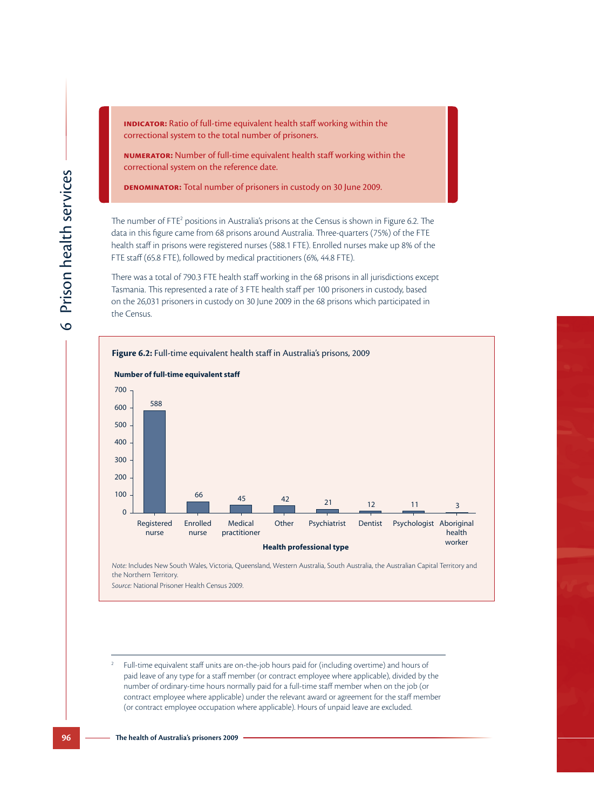**INDICATOR:** Ratio of full-time equivalent health staff working within the correctional system to the total number of prisoners.

**Numerator:** Number of full-time equivalent health staff working within the correctional system on the reference date.

**Denominator:** Total number of prisoners in custody on 30 June 2009.

The number of FTE<sup>2</sup> data in this figure came from 68 prisons around Australia. Three-quarters (75%) of the FTE health staff in prisons were registered nurses (588.1 FTE). Enrolled nurses make up 8% of the FTE staff (65.8 FTE), followed by medical practitioners (6%, 44.8 FTE). io of full-time equivalent health staff working within the<br>
em to the total number of prisoners.<br>
umber of full-time equivalent health staff working within the<br>
em on the reference date.<br> **Total number of prisoners in cust** 

There was a total of 790.3 FTE health staff working in the 68 prisons in all jurisdictions except Tasmania. This represented a rate of 3 FTE health staff per 100 prisoners in custody, based on the 26,031 prisoners in custody on 30 June 2009 in the 68 prisons which participated in the Census.



*Note:* Includes New South Wales, Victoria, Queensland, Western Australia, South Australia, the Australian Capital Territory and the Northern Territory.

*Source:* National Prisoner Health Census 2009.

<sup>2</sup> Full-time equivalent staff units are on-the-job hours paid for (including overtime) and hours of paid leave of any type for a staff member (or contract employee where applicable), divided by the number of ordinary-time hours normally paid for a full-time staff member when on the job (or contract employee where applicable) under the relevant award or agreement for the staff member (or contract employee occupation where applicable). Hours of unpaid leave are excluded.

**96 The health of Australia's prisoners 2009**